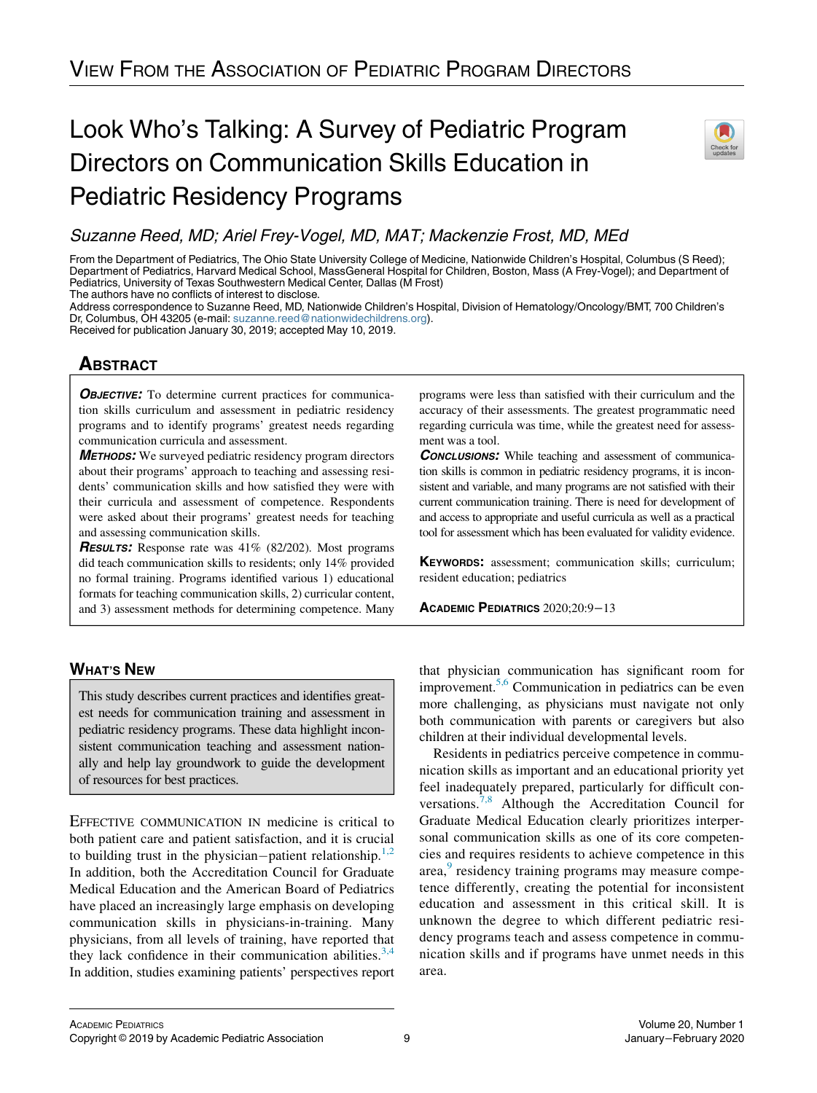## Look Who's Talking: A Survey of Pediatric Program Directors on Communication Skills Education in Pediatric Residency Programs



### Suzanne Reed, MD; Ariel Frey-Vogel, MD, MAT; Mackenzie Frost, MD, MEd

From the Department of Pediatrics, The Ohio State University College of Medicine, Nationwide Children's Hospital, Columbus (S Reed); Department of Pediatrics, Harvard Medical School, MassGeneral Hospital for Children, Boston, Mass (A Frey-Vogel); and Department of Pediatrics, University of Texas Southwestern Medical Center, Dallas (M Frost) The authors have no conflicts of interest to disclose.

Address correspondence to Suzanne Reed, MD, Nationwide Children's Hospital, Division of Hematology/Oncology/BMT, 700 Children's Dr, Columbus, OH 43205 (e-mail: [suzanne.reed@nationwidechildrens.org\)](mailto:suzanne.reed@nationwidechildrens.org).

Received for publication January 30, 2019; accepted May 10, 2019.

# <u>ABSTRACT</u>

**OBJECTIVE:** To determine current practices for communication skills curriculum and assessment in pediatric residency programs and to identify programs' greatest needs regarding communication curricula and assessment.

**METHODS:** We surveyed pediatric residency program directors about their programs' approach to teaching and assessing residents' communication skills and how satisfied they were with their curricula and assessment of competence. Respondents were asked about their programs' greatest needs for teaching and assessing communication skills.

**RESULTS:** Response rate was 41% (82/202). Most programs did teach communication skills to residents; only 14% provided no formal training. Programs identified various 1) educational formats for teaching communication skills, 2) curricular content, and 3) assessment methods for determining competence. Many

WHAT'S NEWSFILM This study describes current practices and identifies greatest needs for communication training and assessment in pediatric residency programs. These data highlight inconsistent communication teaching and assessment nationally and help lay groundwork to guide the development of resources for best practices.

EFFECTIVE COMMUNICATION IN medicine is critical to both patient care and patient satisfaction, and it is crucial to building trust in the physician-patient relationship.<sup>[1,2](#page-4-0)</sup> In addition, both the Accreditation Council for Graduate Medical Education and the American Board of Pediatrics have placed an increasingly large emphasis on developing communication skills in physicians-in-training. Many physicians, from all levels of training, have reported that they lack confidence in their communication abilities. $3,4$ In addition, studies examining patients' perspectives report programs were less than satisfied with their curriculum and the accuracy of their assessments. The greatest programmatic need regarding curricula was time, while the greatest need for assessment was a tool.

**CONCLUSIONS:** While teaching and assessment of communication skills is common in pediatric residency programs, it is inconsistent and variable, and many programs are not satisfied with their current communication training. There is need for development of and access to appropriate and useful curricula as well as a practical tool for assessment which has been evaluated for validity evidence.

KEYWORDS: assessment; communication skills; curriculum; resident education; pediatrics

ACADEMIC PEDIATRICS 2020;20:9−<sup>13</sup>

that physician communication has significant room for improvement.<sup>5,6</sup> Communication in pediatrics can be even more challenging, as physicians must navigate not only both communication with parents or caregivers but also children at their individual developmental levels.

Residents in pediatrics perceive competence in communication skills as important and an educational priority yet feel inadequately prepared, particularly for difficult conversations.[7,8](#page-4-3) Although the Accreditation Council for Graduate Medical Education clearly prioritizes interpersonal communication skills as one of its core competencies and requires residents to achieve competence in this area, residency training programs may measure competence differently, creating the potential for inconsistent education and assessment in this critical skill. It is unknown the degree to which different pediatric residency programs teach and assess competence in communication skills and if programs have unmet needs in this area.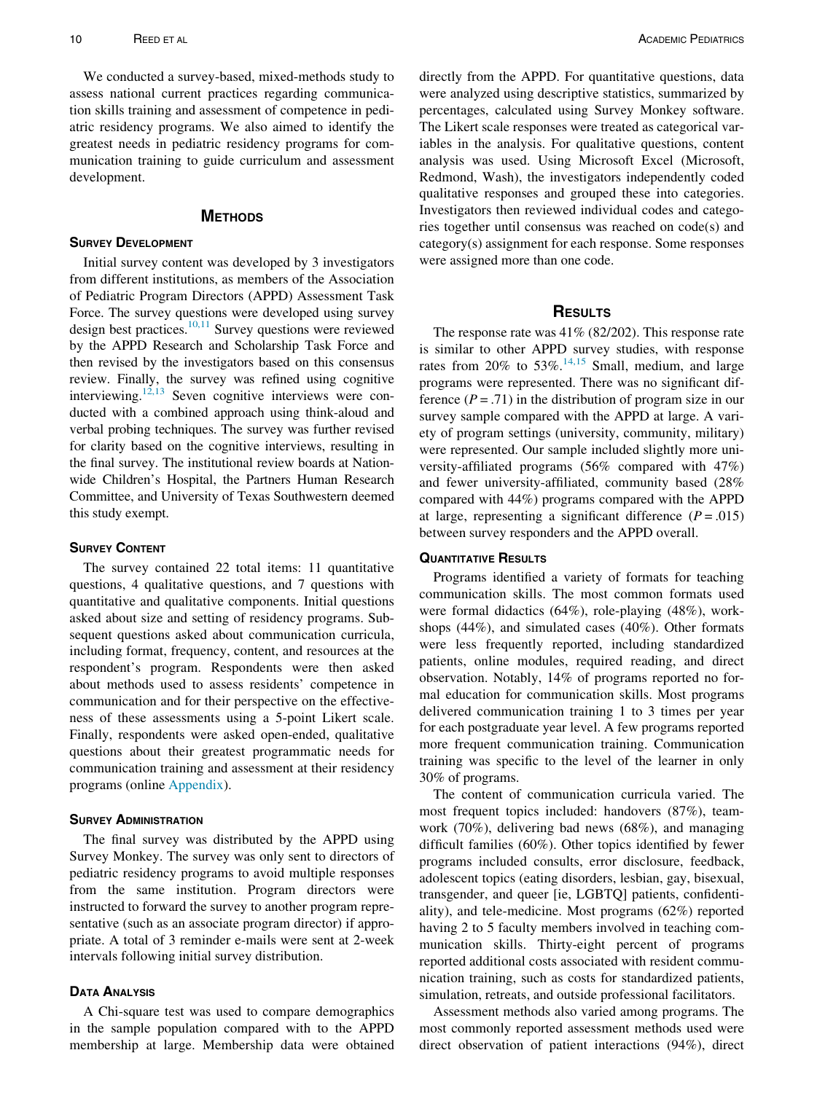We conducted a survey-based, mixed-methods study to assess national current practices regarding communication skills training and assessment of competence in pediatric residency programs. We also aimed to identify the greatest needs in pediatric residency programs for communication training to guide curriculum and assessment development.

## METHODS

### **SURVEY DEVELOPMENT**

Initial survey content was developed by 3 investigators from different institutions, as members of the Association of Pediatric Program Directors (APPD) Assessment Task Force. The survey questions were developed using survey design best practices. $10,11$  Survey questions were reviewed by the APPD Research and Scholarship Task Force and then revised by the investigators based on this consensus review. Finally, the survey was refined using cognitive interviewing.<sup>[12,13](#page-4-6)</sup> Seven cognitive interviews were conducted with a combined approach using think-aloud and verbal probing techniques. The survey was further revised for clarity based on the cognitive interviews, resulting in the final survey. The institutional review boards at Nationwide Children's Hospital, the Partners Human Research Committee, and University of Texas Southwestern deemed this study exempt.

### **SURVEY CONTENT**

The survey contained 22 total items: 11 quantitative questions, 4 qualitative questions, and 7 questions with quantitative and qualitative components. Initial questions asked about size and setting of residency programs. Subsequent questions asked about communication curricula, including format, frequency, content, and resources at the respondent's program. Respondents were then asked about methods used to assess residents' competence in communication and for their perspective on the effectiveness of these assessments using a 5-point Likert scale. Finally, respondents were asked open-ended, qualitative questions about their greatest programmatic needs for communication training and assessment at their residency programs (online [Appendix](#page-4-7)).

The final survey was distributed by the APPD using Survey Monkey. The survey was only sent to directors of pediatric residency programs to avoid multiple responses from the same institution. Program directors were instructed to forward the survey to another program representative (such as an associate program director) if appropriate. A total of 3 reminder e-mails were sent at 2-week intervals following initial survey distribution.

A Chi-square test was used to compare demographics in the sample population compared with to the APPD membership at large. Membership data were obtained directly from the APPD. For quantitative questions, data were analyzed using descriptive statistics, summarized by percentages, calculated using Survey Monkey software. The Likert scale responses were treated as categorical variables in the analysis. For qualitative questions, content analysis was used. Using Microsoft Excel (Microsoft, Redmond, Wash), the investigators independently coded qualitative responses and grouped these into categories. Investigators then reviewed individual codes and categories together until consensus was reached on code(s) and category(s) assignment for each response. Some responses were assigned more than one code.

The response rate was  $41\%$  (82/202). This response rate is similar to other APPD survey studies, with response rates from  $20\%$  to  $53\%$ .<sup>[14,15](#page-4-8)</sup> Small, medium, and large programs were represented. There was no significant difference  $(P = .71)$  in the distribution of program size in our survey sample compared with the APPD at large. A variety of program settings (university, community, military) were represented. Our sample included slightly more university-affiliated programs (56% compared with 47%) and fewer university-affiliated, community based (28% compared with 44%) programs compared with the APPD at large, representing a significant difference  $(P = .015)$ between survey responders and the APPD overall.

### **QUANTITATIVE RESULTS**

Programs identified a variety of formats for teaching communication skills. The most common formats used were formal didactics (64%), role-playing (48%), workshops (44%), and simulated cases (40%). Other formats were less frequently reported, including standardized patients, online modules, required reading, and direct observation. Notably, 14% of programs reported no formal education for communication skills. Most programs delivered communication training 1 to 3 times per year for each postgraduate year level. A few programs reported more frequent communication training. Communication training was specific to the level of the learner in only 30% of programs.

The content of communication curricula varied. The most frequent topics included: handovers (87%), teamwork (70%), delivering bad news (68%), and managing difficult families (60%). Other topics identified by fewer programs included consults, error disclosure, feedback, adolescent topics (eating disorders, lesbian, gay, bisexual, transgender, and queer [ie, LGBTQ] patients, confidentiality), and tele-medicine. Most programs (62%) reported having 2 to 5 faculty members involved in teaching communication skills. Thirty-eight percent of programs reported additional costs associated with resident communication training, such as costs for standardized patients, simulation, retreats, and outside professional facilitators.

Assessment methods also varied among programs. The most commonly reported assessment methods used were direct observation of patient interactions (94%), direct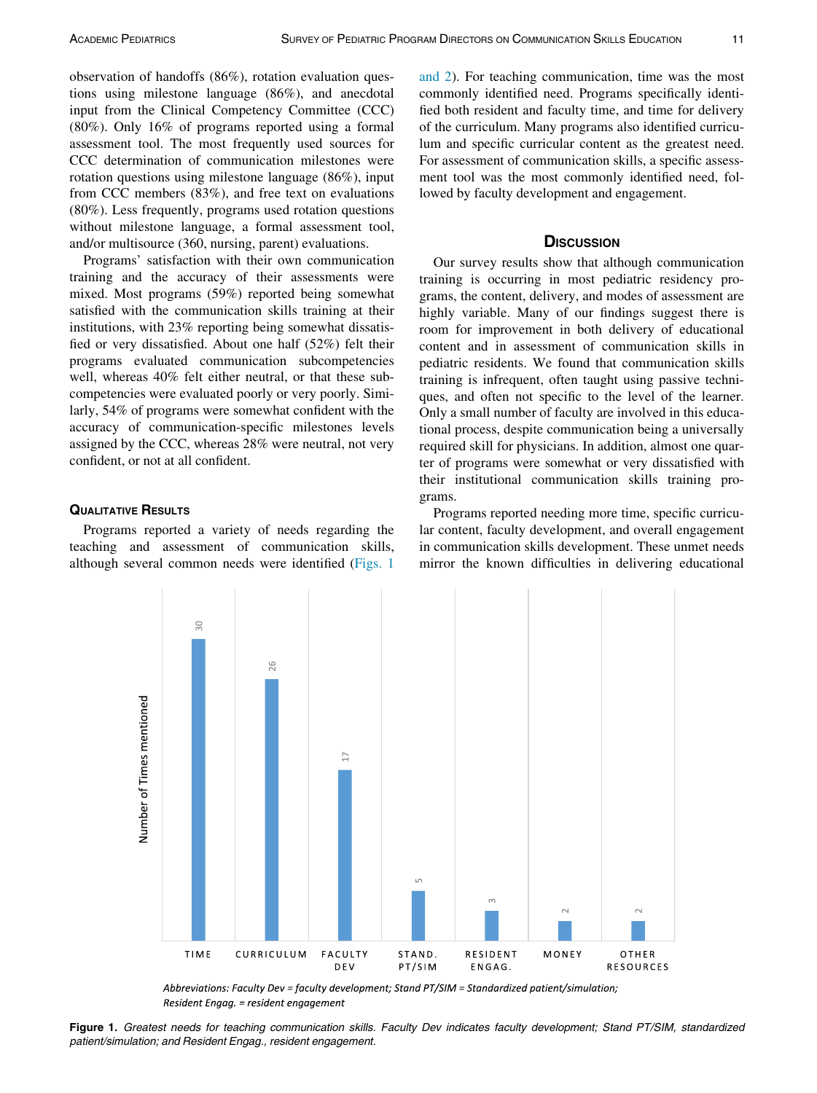observation of handoffs (86%), rotation evaluation questions using milestone language (86%), and anecdotal input from the Clinical Competency Committee (CCC) (80%). Only 16% of programs reported using a formal assessment tool. The most frequently used sources for CCC determination of communication milestones were rotation questions using milestone language (86%), input from CCC members (83%), and free text on evaluations (80%). Less frequently, programs used rotation questions without milestone language, a formal assessment tool, and/or multisource (360, nursing, parent) evaluations.

Programs' satisfaction with their own communication training and the accuracy of their assessments were mixed. Most programs (59%) reported being somewhat satisfied with the communication skills training at their institutions, with 23% reporting being somewhat dissatisfied or very dissatisfied. About one half (52%) felt their programs evaluated communication subcompetencies well, whereas 40% felt either neutral, or that these subcompetencies were evaluated poorly or very poorly. Similarly, 54% of programs were somewhat confident with the accuracy of communication-specific milestones levels assigned by the CCC, whereas 28% were neutral, not very confident, or not at all confident.

<span id="page-2-0"></span>**Programs reported a variety of needs regarding the** teaching and assessment of communication skills, although several common needs were identified [\(Figs. 1](#page-2-0) [and 2](#page-2-0)). For teaching communication, time was the most commonly identified need. Programs specifically identified both resident and faculty time, and time for delivery of the curriculum. Many programs also identified curriculum and specific curricular content as the greatest need. For assessment of communication skills, a specific assessment tool was the most commonly identified need, followed by faculty development and engagement.

### **DISCUSSION**

Our survey results show that although communication training is occurring in most pediatric residency programs, the content, delivery, and modes of assessment are highly variable. Many of our findings suggest there is room for improvement in both delivery of educational content and in assessment of communication skills in pediatric residents. We found that communication skills training is infrequent, often taught using passive techniques, and often not specific to the level of the learner. Only a small number of faculty are involved in this educational process, despite communication being a universally required skill for physicians. In addition, almost one quarter of programs were somewhat or very dissatisfied with their institutional communication skills training programs.

Programs reported needing more time, specific curricular content, faculty development, and overall engagement in communication skills development. These unmet needs mirror the known difficulties in delivering educational



Abbreviations: Faculty Dev = faculty development; Stand PT/SIM = Standardized patient/simulation; Resident Engag. = resident engagement

Figure 1. Greatest needs for teaching communication skills. Faculty Dev indicates faculty development; Stand PT/SIM, standardized patient/simulation; and Resident Engag., resident engagement.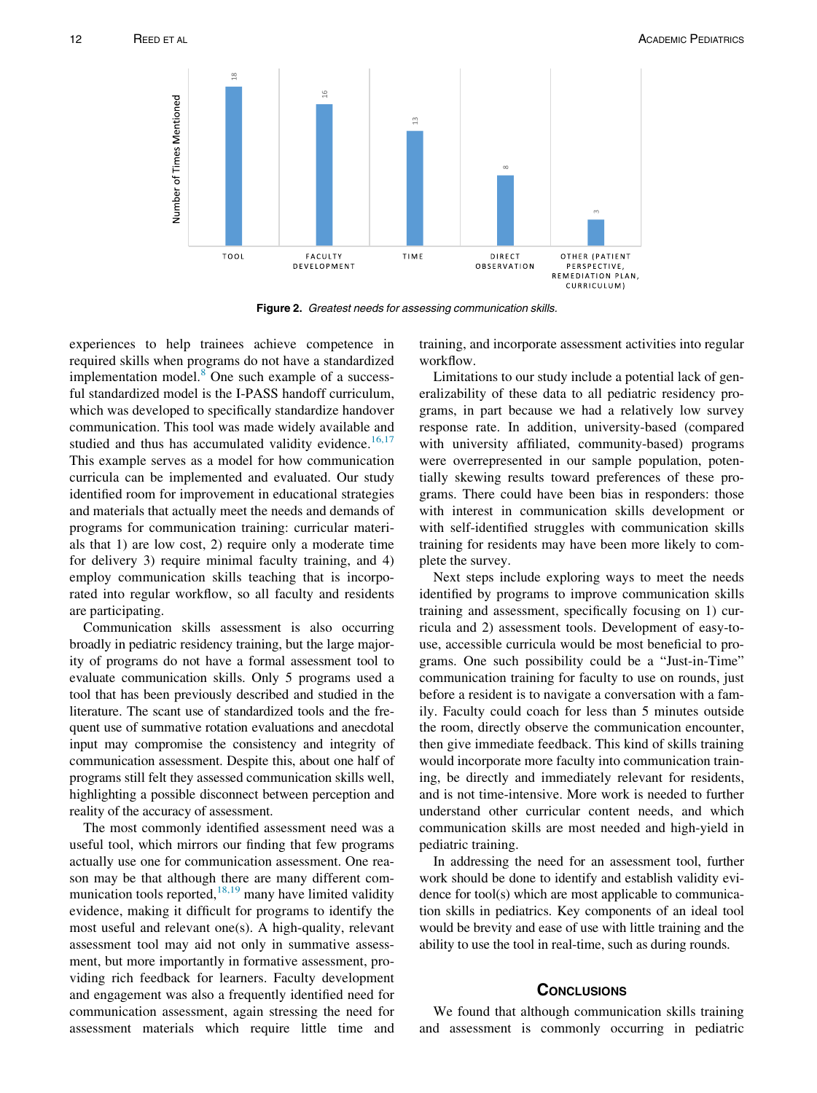

Figure 2. Greatest needs for assessing communication skills.

experiences to help trainees achieve competence in required skills when programs do not have a standardized implementation model.<sup>[8](#page-4-9)</sup> One such example of a successful standardized model is the I-PASS handoff curriculum, which was developed to specifically standardize handover communication. This tool was made widely available and studied and thus has accumulated validity evidence.<sup>[16,17](#page-4-10)</sup> This example serves as a model for how communication curricula can be implemented and evaluated. Our study identified room for improvement in educational strategies and materials that actually meet the needs and demands of programs for communication training: curricular materials that 1) are low cost, 2) require only a moderate time for delivery 3) require minimal faculty training, and 4) employ communication skills teaching that is incorporated into regular workflow, so all faculty and residents are participating.

Communication skills assessment is also occurring broadly in pediatric residency training, but the large majority of programs do not have a formal assessment tool to evaluate communication skills. Only 5 programs used a tool that has been previously described and studied in the literature. The scant use of standardized tools and the frequent use of summative rotation evaluations and anecdotal input may compromise the consistency and integrity of communication assessment. Despite this, about one half of programs still felt they assessed communication skills well, highlighting a possible disconnect between perception and reality of the accuracy of assessment.

The most commonly identified assessment need was a useful tool, which mirrors our finding that few programs actually use one for communication assessment. One reason may be that although there are many different communication tools reported, $18,19$  many have limited validity evidence, making it difficult for programs to identify the most useful and relevant one(s). A high-quality, relevant assessment tool may aid not only in summative assessment, but more importantly in formative assessment, providing rich feedback for learners. Faculty development and engagement was also a frequently identified need for communication assessment, again stressing the need for assessment materials which require little time and training, and incorporate assessment activities into regular workflow.

Limitations to our study include a potential lack of generalizability of these data to all pediatric residency programs, in part because we had a relatively low survey response rate. In addition, university-based (compared with university affiliated, community-based) programs were overrepresented in our sample population, potentially skewing results toward preferences of these programs. There could have been bias in responders: those with interest in communication skills development or with self-identified struggles with communication skills training for residents may have been more likely to complete the survey.

Next steps include exploring ways to meet the needs identified by programs to improve communication skills training and assessment, specifically focusing on 1) curricula and 2) assessment tools. Development of easy-touse, accessible curricula would be most beneficial to programs. One such possibility could be a "Just-in-Time" communication training for faculty to use on rounds, just before a resident is to navigate a conversation with a family. Faculty could coach for less than 5 minutes outside the room, directly observe the communication encounter, then give immediate feedback. This kind of skills training would incorporate more faculty into communication training, be directly and immediately relevant for residents, and is not time-intensive. More work is needed to further understand other curricular content needs, and which communication skills are most needed and high-yield in pediatric training.

In addressing the need for an assessment tool, further work should be done to identify and establish validity evidence for tool(s) which are most applicable to communication skills in pediatrics. Key components of an ideal tool would be brevity and ease of use with little training and the ability to use the tool in real-time, such as during rounds.

### **CONCLUSIONS**

We found that although communication skills training and assessment is commonly occurring in pediatric